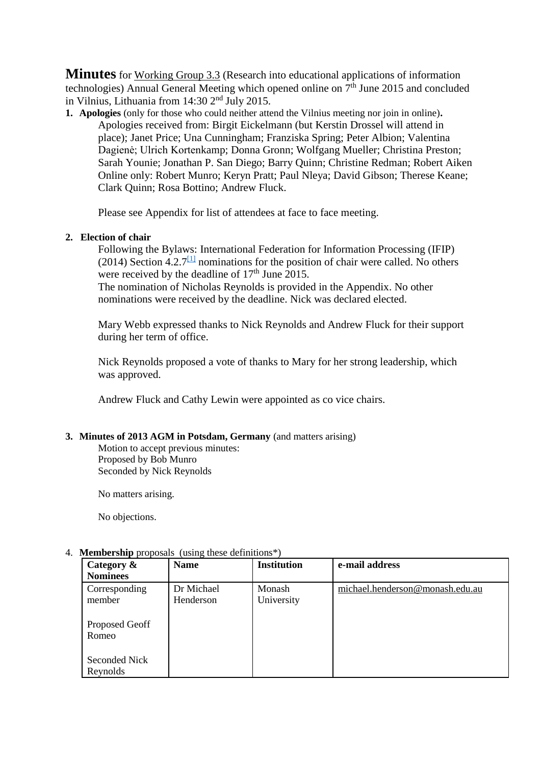**Minutes** for Working Group 3.3 (Research into educational applications of information technologies) Annual General Meeting which opened online on 7<sup>th</sup> June 2015 and concluded in Vilnius, Lithuania from 14:30 2nd July 2015.

**1. Apologies** (only for those who could neither attend the Vilnius meeting nor join in online)**.** Apologies received from: Birgit Eickelmann (but Kerstin Drossel will attend in place); Janet Price; Una Cunningham; Franziska Spring; Peter Albion; Valentina Dagienė; Ulrich Kortenkamp; Donna Gronn; Wolfgang Mueller; Christina Preston; Sarah Younie; Jonathan P. San Diego; Barry Quinn; Christine Redman; Robert Aiken Online only: Robert Munro; Keryn Pratt; Paul Nleya; David Gibson; Therese Keane; Clark Quinn; Rosa Bottino; Andrew Fluck.

Please see Appendix for list of attendees at face to face meeting.

# **2. Election of chair**

<span id="page-0-0"></span>Following the Bylaws: International Federation for Information Processing (IFIP) (2014) Section  $4.2.7$ <sup>[\[1\]](#page-9-0)</sup> nominations for the position of chair were called. No others were received by the deadline of  $17<sup>th</sup>$  June 2015.

The nomination of Nicholas Reynolds is provided in the Appendix. No other nominations were received by the deadline. Nick was declared elected.

Mary Webb expressed thanks to Nick Reynolds and Andrew Fluck for their support during her term of office.

Nick Reynolds proposed a vote of thanks to Mary for her strong leadership, which was approved.

Andrew Fluck and Cathy Lewin were appointed as co vice chairs.

# **3. Minutes of 2013 AGM in Potsdam, Germany** (and matters arising)

Motion to accept previous minutes: Proposed by Bob Munro Seconded by Nick Reynolds

No matters arising.

No objections.

#### **Category & Nominees Name Institution e-mail address** Corresponding member Proposed Geoff Romeo Seconded Nick Reynolds Dr Michael Henderson Monash University [michael.henderson@monash.edu.](mailto:michael.henderson@monash.edu)au

# 4. **Membership** proposals (using these definitions\*)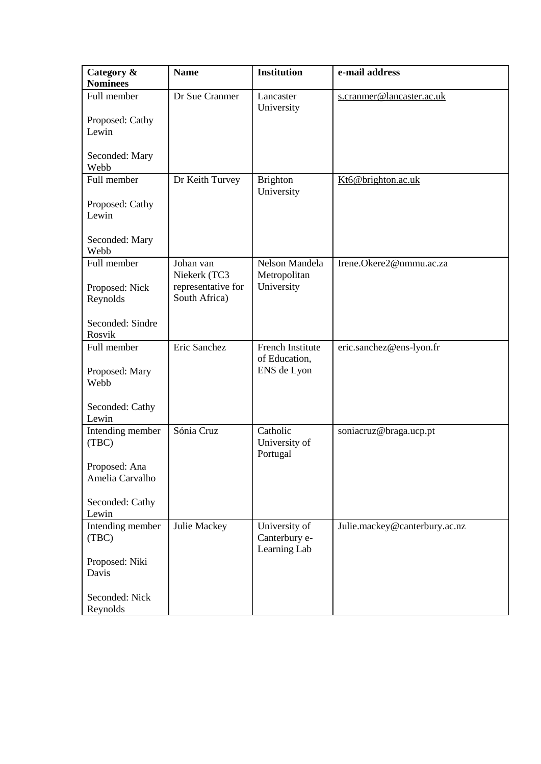| Category &                       | <b>Name</b>                         | <b>Institution</b>                             | e-mail address                |
|----------------------------------|-------------------------------------|------------------------------------------------|-------------------------------|
| <b>Nominees</b>                  |                                     |                                                |                               |
| Full member                      | Dr Sue Cranmer                      | Lancaster<br>University                        | s.cranmer@lancaster.ac.uk     |
| Proposed: Cathy<br>Lewin         |                                     |                                                |                               |
| Seconded: Mary<br>Webb           |                                     |                                                |                               |
| Full member                      | Dr Keith Turvey                     | <b>Brighton</b>                                | Kt6@brighton.ac.uk            |
| Proposed: Cathy<br>Lewin         |                                     | University                                     |                               |
| Seconded: Mary<br>Webb           |                                     |                                                |                               |
| Full member                      | Johan van<br>Niekerk (TC3           | Nelson Mandela<br>Metropolitan                 | Irene.Okere2@nmmu.ac.za       |
| Proposed: Nick<br>Reynolds       | representative for<br>South Africa) | University                                     |                               |
| Seconded: Sindre<br>Rosvik       |                                     |                                                |                               |
| Full member                      | Eric Sanchez                        | French Institute                               | eric.sanchez@ens-lyon.fr      |
| Proposed: Mary<br>Webb           |                                     | of Education,<br>ENS de Lyon                   |                               |
| Seconded: Cathy<br>Lewin         |                                     |                                                |                               |
| Intending member<br>(TBC)        | Sónia Cruz                          | Catholic<br>University of<br>Portugal          | soniacruz@braga.ucp.pt        |
| Proposed: Ana<br>Amelia Carvalho |                                     |                                                |                               |
| Seconded: Cathy<br>Lewin         |                                     |                                                |                               |
| Intending member<br>(TBC)        | Julie Mackey                        | University of<br>Canterbury e-<br>Learning Lab | Julie.mackey@canterbury.ac.nz |
| Proposed: Niki<br>Davis          |                                     |                                                |                               |
| Seconded: Nick<br>Reynolds       |                                     |                                                |                               |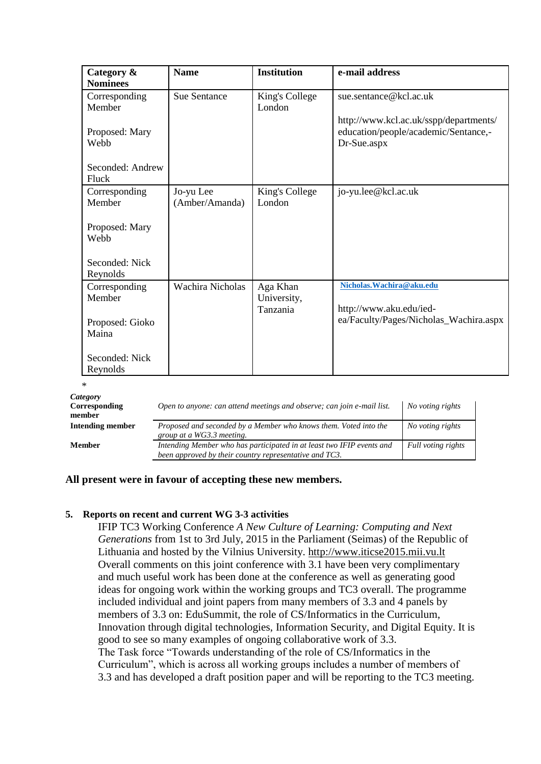| Category &       | <b>Name</b>             | <b>Institution</b> | e-mail address                         |
|------------------|-------------------------|--------------------|----------------------------------------|
| <b>Nominees</b>  |                         |                    |                                        |
| Corresponding    | <b>Sue Sentance</b>     | King's College     | sue.sentance@kcl.ac.uk                 |
| Member           |                         | London             |                                        |
|                  |                         |                    | http://www.kcl.ac.uk/sspp/departments/ |
| Proposed: Mary   |                         |                    | education/people/academic/Sentance,-   |
| Webb             |                         |                    |                                        |
|                  |                         |                    | Dr-Sue.aspx                            |
| Seconded: Andrew |                         |                    |                                        |
|                  |                         |                    |                                        |
| Fluck            |                         |                    |                                        |
| Corresponding    | Jo-yu Lee               | King's College     | jo-yu.lee@kcl.ac.uk                    |
| Member           | (Amber/Amanda)          | London             |                                        |
|                  |                         |                    |                                        |
| Proposed: Mary   |                         |                    |                                        |
| Webb             |                         |                    |                                        |
|                  |                         |                    |                                        |
| Seconded: Nick   |                         |                    |                                        |
|                  |                         |                    |                                        |
| Reynolds         |                         |                    |                                        |
| Corresponding    | <b>Wachira Nicholas</b> | Aga Khan           | Nicholas. Wachira@aku.edu              |
| Member           |                         | University,        |                                        |
|                  |                         | Tanzania           | http://www.aku.edu/ied-                |
| Proposed: Gioko  |                         |                    | ea/Faculty/Pages/Nicholas_Wachira.aspx |
| Maina            |                         |                    |                                        |
|                  |                         |                    |                                        |
| Seconded: Nick   |                         |                    |                                        |
| Reynolds         |                         |                    |                                        |

\*

| Category<br>Corresponding<br>member | Open to anyone: can attend meetings and observe; can join e-mail list.                                                          | No voting rights   |
|-------------------------------------|---------------------------------------------------------------------------------------------------------------------------------|--------------------|
| Intending member                    | Proposed and seconded by a Member who knows them. Voted into the<br>group at a WG3.3 meeting.                                   | No voting rights   |
| <b>Member</b>                       | Intending Member who has participated in at least two IFIP events and<br>been approved by their country representative and TC3. | Full voting rights |

# **All present were in favour of accepting these new members.**

### **5. Reports on recent and current WG 3-3 activities**

IFIP TC3 Working Conference *A New Culture of Learning: Computing and Next Generations* from 1st to 3rd July, 2015 in the Parliament (Seimas) of the Republic of Lithuania and hosted by the Vilnius University. [http://www.iticse2015.mii.vu.lt](http://www.iticse2015.mii.vu.lt/) Overall comments on this joint conference with 3.1 have been very complimentary and much useful work has been done at the conference as well as generating good ideas for ongoing work within the working groups and TC3 overall. The programme included individual and joint papers from many members of 3.3 and 4 panels by members of 3.3 on: EduSummit, the role of CS/Informatics in the Curriculum, Innovation through digital technologies, Information Security, and Digital Equity. It is good to see so many examples of ongoing collaborative work of 3.3. The Task force "Towards understanding of the role of CS/Informatics in the Curriculum", which is across all working groups includes a number of members of 3.3 and has developed a draft position paper and will be reporting to the TC3 meeting.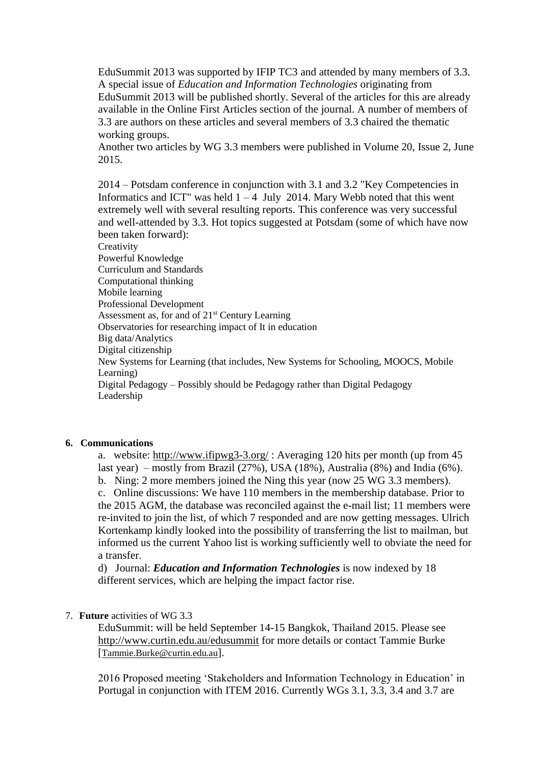EduSummit 2013 was supported by IFIP TC3 and attended by many members of 3.3. A special issue of *Education and Information Technologies* originating from EduSummit 2013 will be published shortly. Several of the articles for this are already available in the Online First Articles section of the journal. A number of members of 3.3 are authors on these articles and several members of 3.3 chaired the thematic working groups.

Another two articles by WG 3.3 members were published in Volume 20, Issue 2, June 2015.

2014 – Potsdam conference in conjunction with 3.1 and 3.2 "Key Competencies in Informatics and ICT" was held  $1 - 4$  July 2014. Mary Webb noted that this went extremely well with several resulting reports. This conference was very successful and well-attended by 3.3. Hot topics suggested at Potsdam (some of which have now been taken forward):

**Creativity** Powerful Knowledge Curriculum and Standards Computational thinking Mobile learning Professional Development Assessment as, for and of 21st Century Learning Observatories for researching impact of It in education Big data/Analytics Digital citizenship New Systems for Learning (that includes, New Systems for Schooling, MOOCS, Mobile Learning) Digital Pedagogy – Possibly should be Pedagogy rather than Digital Pedagogy Leadership

#### **6. Communications**

a. website:<http://www.ifipwg3-3.org/> : Averaging 120 hits per month (up from 45 last year) – mostly from Brazil (27%), USA (18%), Australia (8%) and India (6%).

b. Ning: 2 more members joined the Ning this year (now 25 WG 3.3 members). c. Online discussions: We have 110 members in the membership database. Prior to the 2015 AGM, the database was reconciled against the e-mail list; 11 members were re-invited to join the list, of which 7 responded and are now getting messages. Ulrich Kortenkamp kindly looked into the possibility of transferring the list to mailman, but informed us the current Yahoo list is working sufficiently well to obviate the need for a transfer.

d) Journal: *Education and Information Technologies* is now indexed by 18 different services, which are helping the impact factor rise.

#### 7. **Future** activities of WG 3.3

EduSummit: will be held September 14-15 Bangkok, Thailand 2015. Please see <http://www.curtin.edu.au/edusummit> for more details or contact Tammie Burke [[Tammie.Burke@curtin.edu.au](mailto:tammie.burke@curtin.edu.au)].

2016 Proposed meeting 'Stakeholders and Information Technology in Education' in Portugal in conjunction with ITEM 2016. Currently WGs 3.1, 3.3, 3.4 and 3.7 are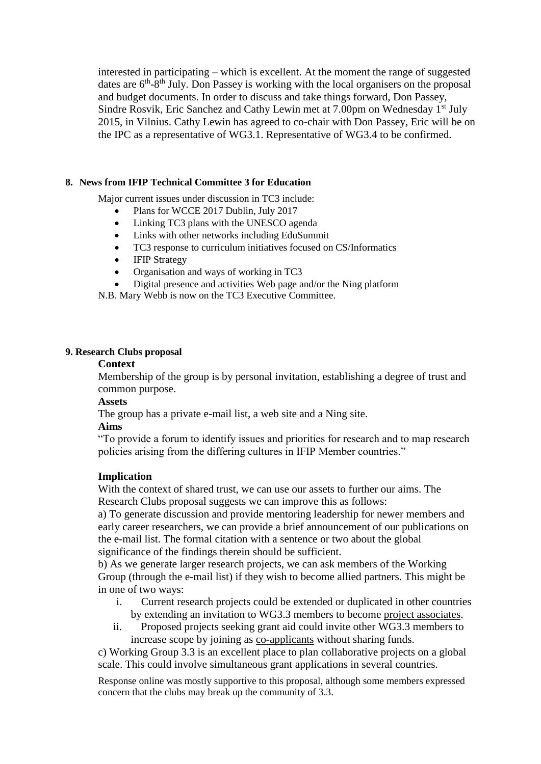interested in participating – which is excellent. At the moment the range of suggested dates are 6<sup>th</sup>-8<sup>th</sup> July. Don Passey is working with the local organisers on the proposal and budget documents. In order to discuss and take things forward, Don Passey, Sindre Rosvik, Eric Sanchez and Cathy Lewin met at 7.00pm on Wednesday 1<sup>st</sup> July 2015, in Vilnius. Cathy Lewin has agreed to co-chair with Don Passey, Eric will be on the IPC as a representative of WG3.1. Representative of WG3.4 to be confirmed.

# **8. News from IFIP Technical Committee 3 for Education**

Major current issues under discussion in TC3 include:

- Plans for WCCE 2017 Dublin, July 2017
- Linking TC3 plans with the UNESCO agenda
- Links with other networks including EduSummit
- TC3 response to curriculum initiatives focused on CS/Informatics
- **IFIP Strategy**
- Organisation and ways of working in TC3
- Digital presence and activities Web page and/or the Ning platform

N.B. Mary Webb is now on the TC3 Executive Committee.

### **9. Research Clubs proposal**

#### **Context**

Membership of the group is by personal invitation, establishing a degree of trust and common purpose.

# **Assets**

The group has a private e-mail list, a web site and a Ning site.

### **Aims**

"To provide a forum to identify issues and priorities for research and to map research policies arising from the differing cultures in IFIP Member countries."

# **Implication**

With the context of shared trust, we can use our assets to further our aims. The Research Clubs proposal suggests we can improve this as follows:

a) To generate discussion and provide mentoring leadership for newer members and early career researchers, we can provide a brief announcement of our publications on the e-mail list. The formal citation with a sentence or two about the global significance of the findings therein should be sufficient.

b) As we generate larger research projects, we can ask members of the Working Group (through the e-mail list) if they wish to become allied partners. This might be in one of two ways:

- i. Current research projects could be extended or duplicated in other countries by extending an invitation to WG3.3 members to become project associates.
- ii. Proposed projects seeking grant aid could invite other WG3.3 members to increase scope by joining as co-applicants without sharing funds.

c) Working Group 3.3 is an excellent place to plan collaborative projects on a global scale. This could involve simultaneous grant applications in several countries.

Response online was mostly supportive to this proposal, although some members expressed concern that the clubs may break up the community of 3.3.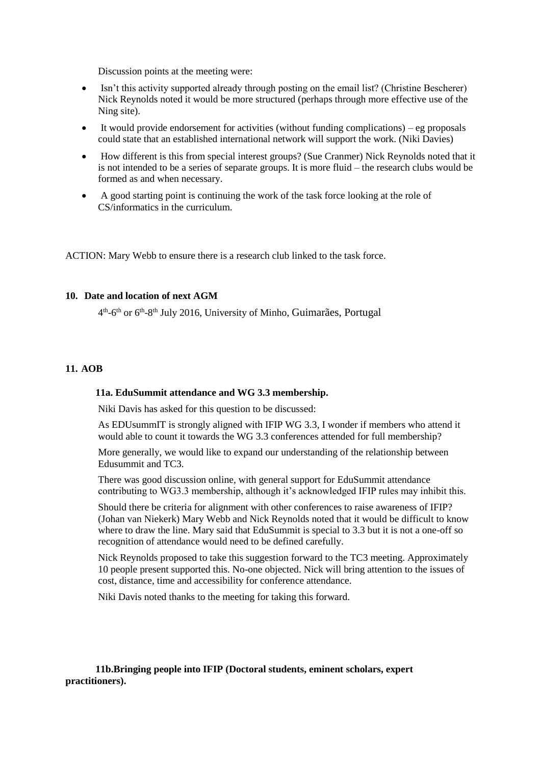Discussion points at the meeting were:

- Isn't this activity supported already through posting on the email list? (Christine Bescherer) Nick Reynolds noted it would be more structured (perhaps through more effective use of the Ning site).
- It would provide endorsement for activities (without funding complications) eg proposals could state that an established international network will support the work. (Niki Davies)
- How different is this from special interest groups? (Sue Cranmer) Nick Reynolds noted that it is not intended to be a series of separate groups. It is more fluid – the research clubs would be formed as and when necessary.
- A good starting point is continuing the work of the task force looking at the role of CS/informatics in the curriculum.

ACTION: Mary Webb to ensure there is a research club linked to the task force.

### **10. Date and location of next AGM**

4<sup>th</sup>-6<sup>th</sup> or 6<sup>th</sup>-8<sup>th</sup> July 2016, University of Minho, Guimarães, Portugal

#### **11. AOB**

#### **11a. EduSummit attendance and WG 3.3 membership.**

Niki Davis has asked for this question to be discussed:

As EDUsummIT is strongly aligned with IFIP WG 3.3, I wonder if members who attend it would able to count it towards the WG 3.3 conferences attended for full membership?

More generally, we would like to expand our understanding of the relationship between Edusummit and TC3.

There was good discussion online, with general support for EduSummit attendance contributing to WG3.3 membership, although it's acknowledged IFIP rules may inhibit this.

Should there be criteria for alignment with other conferences to raise awareness of IFIP? (Johan van Niekerk) Mary Webb and Nick Reynolds noted that it would be difficult to know where to draw the line. Mary said that EduSummit is special to 3.3 but it is not a one-off so recognition of attendance would need to be defined carefully.

Nick Reynolds proposed to take this suggestion forward to the TC3 meeting. Approximately 10 people present supported this. No-one objected. Nick will bring attention to the issues of cost, distance, time and accessibility for conference attendance.

Niki Davis noted thanks to the meeting for taking this forward.

#### **11b.Bringing people into IFIP (Doctoral students, eminent scholars, expert practitioners).**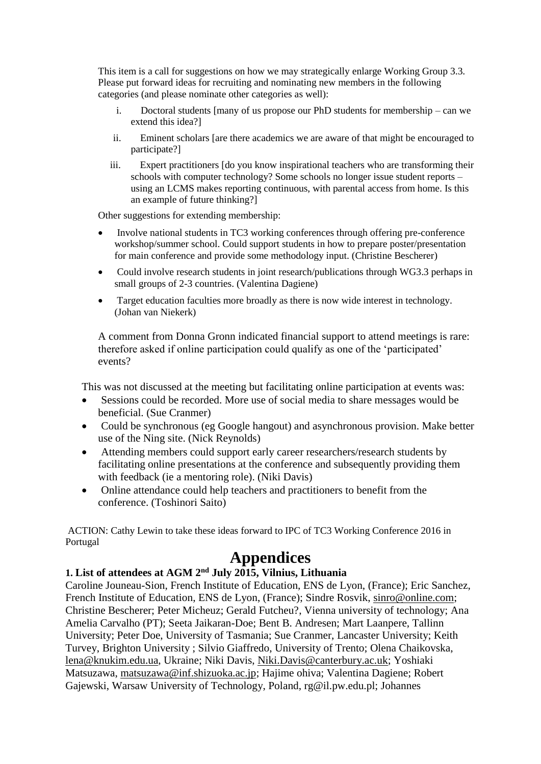This item is a call for suggestions on how we may strategically enlarge Working Group 3.3. Please put forward ideas for recruiting and nominating new members in the following categories (and please nominate other categories as well):

- i. Doctoral students [many of us propose our PhD students for membership can we extend this idea?]
- ii. Eminent scholars [are there academics we are aware of that might be encouraged to participate?]
- iii. Expert practitioners [do you know inspirational teachers who are transforming their schools with computer technology? Some schools no longer issue student reports – using an LCMS makes reporting continuous, with parental access from home. Is this an example of future thinking?]

Other suggestions for extending membership:

- Involve national students in TC3 working conferences through offering pre-conference workshop/summer school. Could support students in how to prepare poster/presentation for main conference and provide some methodology input. (Christine Bescherer)
- Could involve research students in joint research/publications through WG3.3 perhaps in small groups of 2-3 countries. (Valentina Dagiene)
- Target education faculties more broadly as there is now wide interest in technology. (Johan van Niekerk)

A comment from Donna Gronn indicated financial support to attend meetings is rare: therefore asked if online participation could qualify as one of the 'participated' events?

This was not discussed at the meeting but facilitating online participation at events was:

- Sessions could be recorded. More use of social media to share messages would be beneficial. (Sue Cranmer)
- Could be synchronous (eg Google hangout) and asynchronous provision. Make better use of the Ning site. (Nick Reynolds)
- Attending members could support early career researchers/research students by facilitating online presentations at the conference and subsequently providing them with feedback (ie a mentoring role). (Niki Davis)
- Online attendance could help teachers and practitioners to benefit from the conference. (Toshinori Saito)

ACTION: Cathy Lewin to take these ideas forward to IPC of TC3 Working Conference 2016 in Portugal

# **Appendices**

# **1. List of attendees at AGM 2nd July 2015, Vilnius, Lithuania**

Caroline Jouneau-Sion, French Institute of Education, ENS de Lyon, (France); Eric Sanchez, French Institute of Education, ENS de Lyon, (France); Sindre Rosvik, [sinro@online.com;](mailto:sinro@online.com) Christine Bescherer; Peter Micheuz; Gerald Futcheu?, Vienna university of technology; Ana Amelia Carvalho (PT); Seeta Jaikaran-Doe; Bent B. Andresen; Mart Laanpere, Tallinn University; Peter Doe, University of Tasmania; Sue Cranmer, Lancaster University; Keith Turvey, Brighton University ; Silvio Giaffredo, University of Trento; Olena Chaikovska, [lena@knukim.edu.ua,](mailto:lena@knukim.edu.ua) Ukraine; Niki Davis, [Niki.Davis@canterbury.ac.uk;](mailto:Niki.Davis@canterbury.ac.uk) Yoshiaki Matsuzawa, [matsuzawa@inf.shizuoka.ac.jp;](mailto:matsuzawa@inf.shizuoka.ac.jp) Hajime ohiva; Valentina Dagiene; Robert Gajewski, Warsaw University of Technology, Poland, rg@il.pw.edu.pl; Johannes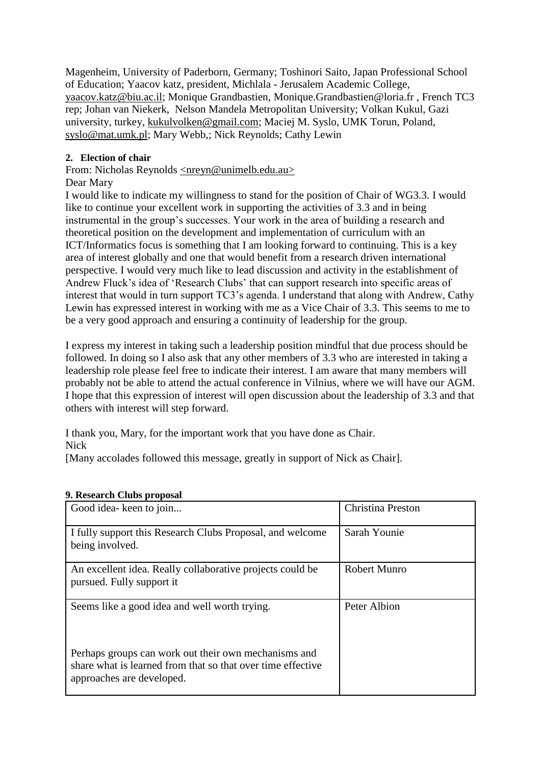Magenheim, University of Paderborn, Germany; Toshinori Saito, Japan Professional School of Education; Yaacov katz, president, Michlala - Jerusalem Academic College, [yaacov.katz@biu.ac.il;](mailto:yaacov.katz@biu.ac.il) Monique Grandbastien, Monique.Grandbastien@loria.fr , French TC3 rep; Johan van Niekerk, Nelson Mandela Metropolitan University; Volkan Kukul, Gazi university, turkey, [kukulvolken@gmail.com;](mailto:kukulvolken@gmail.com) Maciej M. Syslo, UMK Torun, Poland, [syslo@mat.umk.pl;](mailto:syslo@mat.umk.pl) Mary Webb,; Nick Reynolds; Cathy Lewin

# **2. Election of chair**

From: Nicholas Reynolds [<nreyn@unimelb.edu.au>](mailto:nreyn@unimelb.edu.au)

# Dear Mary

I would like to indicate my willingness to stand for the position of Chair of WG3.3. I would like to continue your excellent work in supporting the activities of 3.3 and in being instrumental in the group's successes. Your work in the area of building a research and theoretical position on the development and implementation of curriculum with an ICT/Informatics focus is something that I am looking forward to continuing. This is a key area of interest globally and one that would benefit from a research driven international perspective. I would very much like to lead discussion and activity in the establishment of Andrew Fluck's idea of 'Research Clubs' that can support research into specific areas of interest that would in turn support TC3's agenda. I understand that along with Andrew, Cathy Lewin has expressed interest in working with me as a Vice Chair of 3.3. This seems to me to be a very good approach and ensuring a continuity of leadership for the group.

I express my interest in taking such a leadership position mindful that due process should be followed. In doing so I also ask that any other members of 3.3 who are interested in taking a leadership role please feel free to indicate their interest. I am aware that many members will probably not be able to attend the actual conference in Vilnius, where we will have our AGM. I hope that this expression of interest will open discussion about the leadership of 3.3 and that others with interest will step forward.

I thank you, Mary, for the important work that you have done as Chair. Nick

[Many accolades followed this message, greatly in support of Nick as Chair].

| Good idea-keen to join                                                                                                                           | <b>Christina Preston</b> |
|--------------------------------------------------------------------------------------------------------------------------------------------------|--------------------------|
| I fully support this Research Clubs Proposal, and welcome<br>being involved.                                                                     | Sarah Younie             |
| An excellent idea. Really collaborative projects could be<br>pursued. Fully support it                                                           | <b>Robert Munro</b>      |
| Seems like a good idea and well worth trying.                                                                                                    | Peter Albion             |
| Perhaps groups can work out their own mechanisms and<br>share what is learned from that so that over time effective<br>approaches are developed. |                          |

# **9. Research Clubs proposal**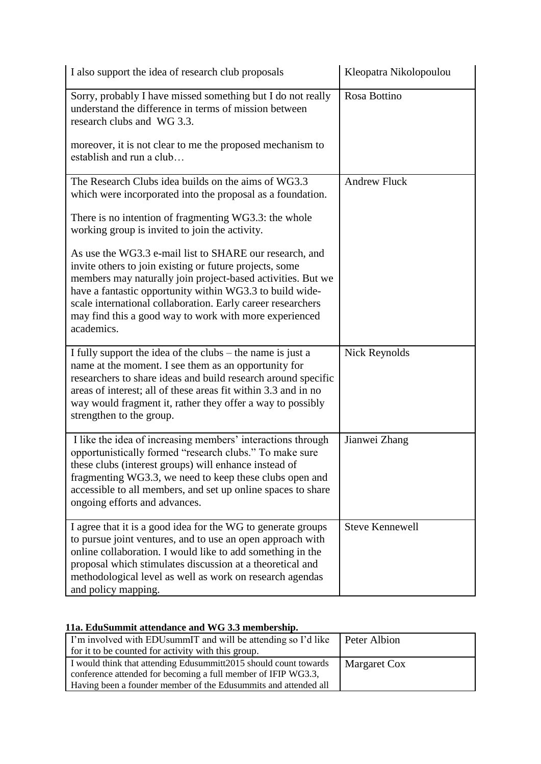| I also support the idea of research club proposals                                                                                                                                                                                                                                                                                                                                   | Kleopatra Nikolopoulou |
|--------------------------------------------------------------------------------------------------------------------------------------------------------------------------------------------------------------------------------------------------------------------------------------------------------------------------------------------------------------------------------------|------------------------|
| Sorry, probably I have missed something but I do not really<br>understand the difference in terms of mission between<br>research clubs and WG 3.3.<br>moreover, it is not clear to me the proposed mechanism to                                                                                                                                                                      | Rosa Bottino           |
| establish and run a club                                                                                                                                                                                                                                                                                                                                                             |                        |
| The Research Clubs idea builds on the aims of WG3.3<br>which were incorporated into the proposal as a foundation.                                                                                                                                                                                                                                                                    | <b>Andrew Fluck</b>    |
| There is no intention of fragmenting WG3.3: the whole<br>working group is invited to join the activity.                                                                                                                                                                                                                                                                              |                        |
| As use the WG3.3 e-mail list to SHARE our research, and<br>invite others to join existing or future projects, some<br>members may naturally join project-based activities. But we<br>have a fantastic opportunity within WG3.3 to build wide-<br>scale international collaboration. Early career researchers<br>may find this a good way to work with more experienced<br>academics. |                        |
| I fully support the idea of the clubs – the name is just a<br>name at the moment. I see them as an opportunity for<br>researchers to share ideas and build research around specific<br>areas of interest; all of these areas fit within 3.3 and in no<br>way would fragment it, rather they offer a way to possibly<br>strengthen to the group.                                      | <b>Nick Reynolds</b>   |
| I like the idea of increasing members' interactions through<br>opportunistically formed "research clubs." To make sure<br>these clubs (interest groups) will enhance instead of<br>fragmenting WG3.3, we need to keep these clubs open and<br>accessible to all members, and set up online spaces to share<br>ongoing efforts and advances.                                          | Jianwei Zhang          |
| I agree that it is a good idea for the WG to generate groups<br>to pursue joint ventures, and to use an open approach with<br>online collaboration. I would like to add something in the<br>proposal which stimulates discussion at a theoretical and<br>methodological level as well as work on research agendas<br>and policy mapping.                                             | <b>Steve Kennewell</b> |

# **11a. EduSummit attendance and WG 3.3 membership.**

| I'm involved with EDU summIT and will be attending so I'd like   | Peter Albion |
|------------------------------------------------------------------|--------------|
| for it to be counted for activity with this group.               |              |
| I would think that attending Edusummitt2015 should count towards | Margaret Cox |
| conference attended for becoming a full member of IFIP WG3.3,    |              |
| Having been a founder member of the Edusummits and attended all  |              |